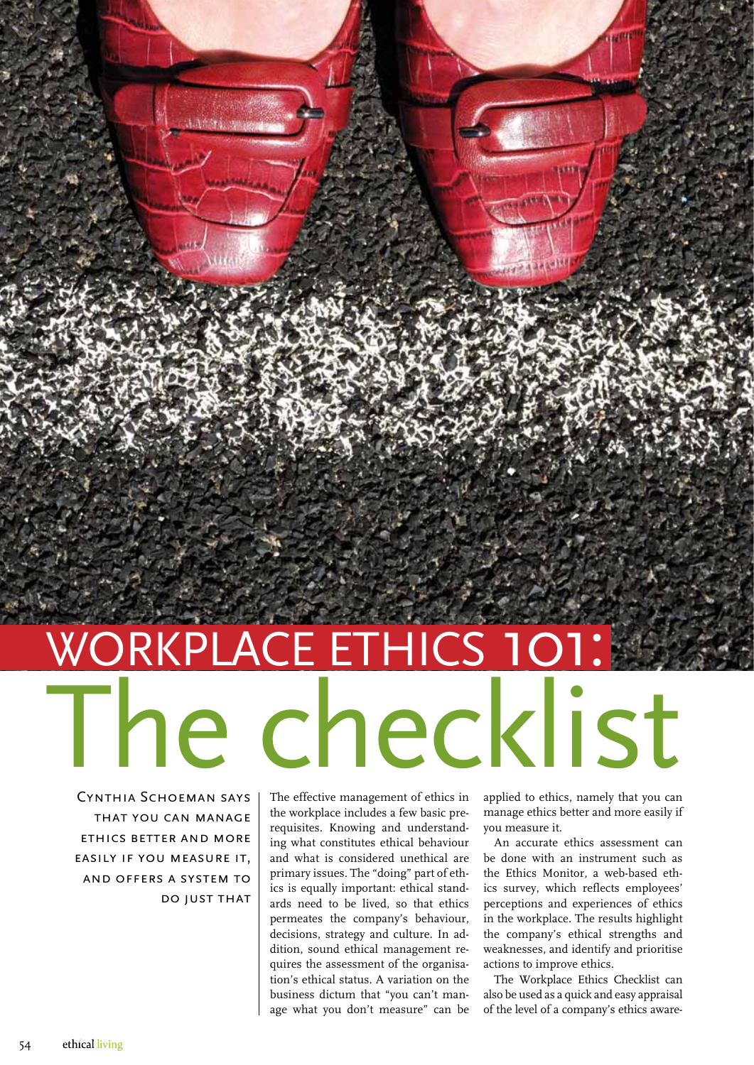## The checklist WORKPLACE ETHICS 10

Cynthia Schoeman says that you can manage ethics better and more easily if you measure it, and offers a system to do just that

A AS A JUNIOR

The effective management of ethics in the workplace includes a few basic prerequisites. Knowing and understanding what constitutes ethical behaviour and what is considered unethical are primary issues. The "doing" part of ethics is equally important: ethical standards need to be lived, so that ethics permeates the company's behaviour, decisions, strategy and culture. In addition, sound ethical management requires the assessment of the organisation's ethical status. A variation on the business dictum that "you can't manage what you don't measure" can be

applied to ethics, namely that you can manage ethics better and more easily if you measure it.

An accurate ethics assessment can be done with an instrument such as the Ethics Monitor, a web-based ethics survey, which reflects employees' perceptions and experiences of ethics in the workplace. The results highlight the company's ethical strengths and weaknesses, and identify and prioritise actions to improve ethics.

The Workplace Ethics Checklist can also be used as a quick and easy appraisal of the level of a company's ethics aware-